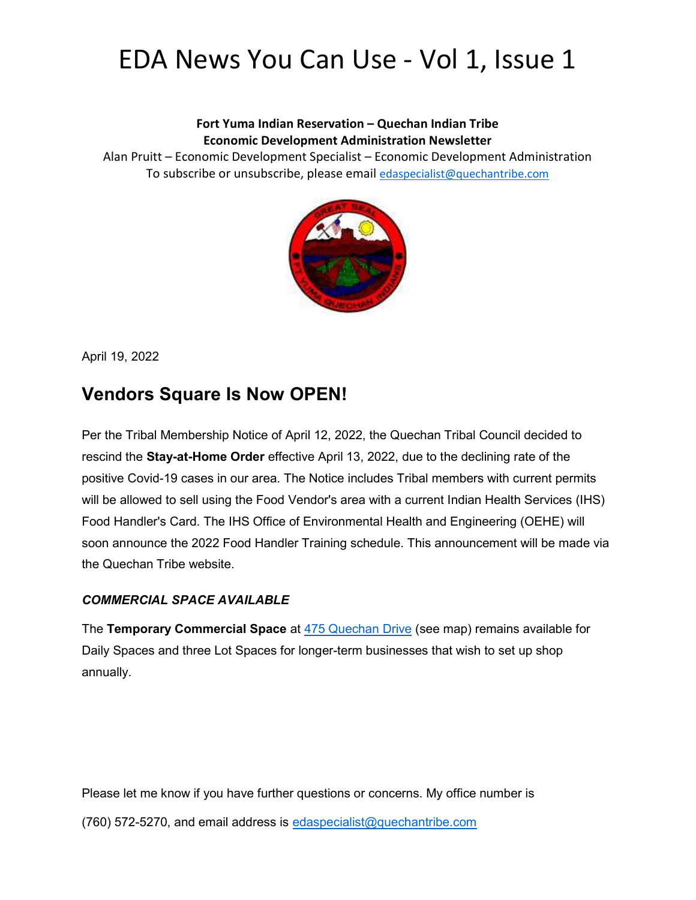# EDA News You Can Use - Vol 1, Issue 1

#### Fort Yuma Indian Reservation – Quechan Indian Tribe Economic Development Administration Newsletter

Alan Pruitt – Economic Development Specialist – Economic Development Administration To subscribe or unsubscribe, please email edaspecialist@quechantribe.com



April 19, 2022

### Vendors Square Is Now OPEN!

Per the Tribal Membership Notice of April 12, 2022, the Quechan Tribal Council decided to rescind the Stay-at-Home Order effective April 13, 2022, due to the declining rate of the positive Covid-19 cases in our area. The Notice includes Tribal members with current permits will be allowed to sell using the Food Vendor's area with a current Indian Health Services (IHS) Food Handler's Card. The IHS Office of Environmental Health and Engineering (OEHE) will soon announce the 2022 Food Handler Training schedule. This announcement will be made via the Quechan Tribe website.

#### COMMERCIAL SPACE AVAILABLE

The Temporary Commercial Space at 475 Quechan Drive (see map) remains available for Daily Spaces and three Lot Spaces for longer-term businesses that wish to set up shop annually.

Please let me know if you have further questions or concerns. My office number is (760) 572-5270, and email address is edaspecialist@quechantribe.com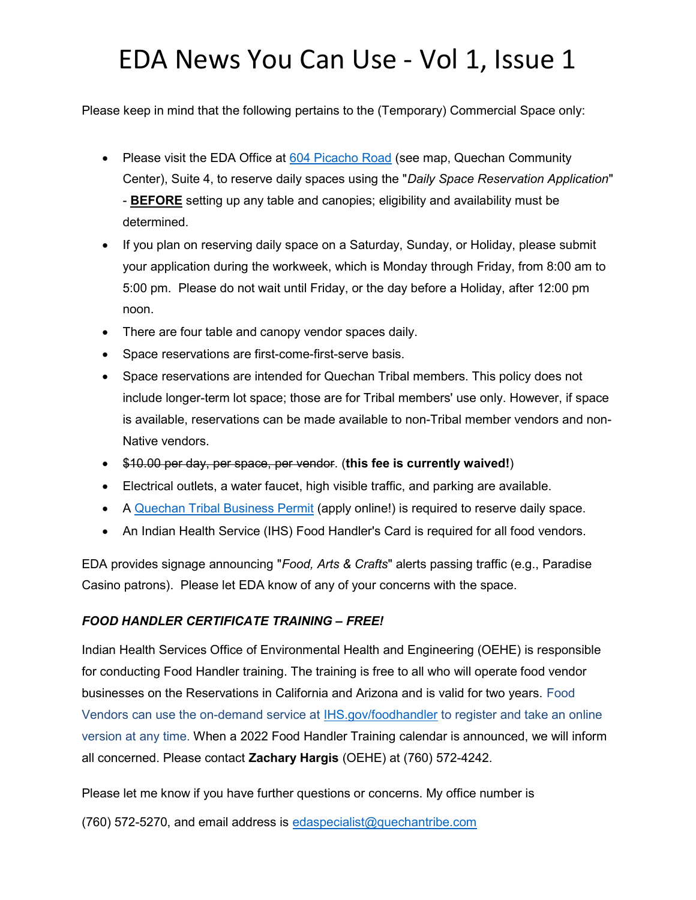# EDA News You Can Use - Vol 1, Issue 1

Please keep in mind that the following pertains to the (Temporary) Commercial Space only:

- Please visit the EDA Office at 604 Picacho Road (see map, Quechan Community Center), Suite 4, to reserve daily spaces using the "Daily Space Reservation Application" - BEFORE setting up any table and canopies; eligibility and availability must be determined.
- If you plan on reserving daily space on a Saturday, Sunday, or Holiday, please submit your application during the workweek, which is Monday through Friday, from 8:00 am to 5:00 pm. Please do not wait until Friday, or the day before a Holiday, after 12:00 pm noon.
- There are four table and canopy vendor spaces daily.
- Space reservations are first-come-first-serve basis.
- Space reservations are intended for Quechan Tribal members. This policy does not include longer-term lot space; those are for Tribal members' use only. However, if space is available, reservations can be made available to non-Tribal member vendors and non-Native vendors.
- \$10.00 per day, per space, per vendor. (this fee is currently waived!)
- Electrical outlets, a water faucet, high visible traffic, and parking are available.
- A Quechan Tribal Business Permit (apply online!) is required to reserve daily space.
- An Indian Health Service (IHS) Food Handler's Card is required for all food vendors.

EDA provides signage announcing "Food, Arts & Crafts" alerts passing traffic (e.g., Paradise Casino patrons). Please let EDA know of any of your concerns with the space.

#### FOOD HANDLER CERTIFICATE TRAINING – FREE!

Indian Health Services Office of Environmental Health and Engineering (OEHE) is responsible for conducting Food Handler training. The training is free to all who will operate food vendor businesses on the Reservations in California and Arizona and is valid for two years. Food Vendors can use the on-demand service at IHS.gov/foodhandler to register and take an online version at any time. When a 2022 Food Handler Training calendar is announced, we will inform all concerned. Please contact Zachary Hargis (OEHE) at (760) 572-4242.

Please let me know if you have further questions or concerns. My office number is

(760) 572-5270, and email address is edaspecialist@quechantribe.com